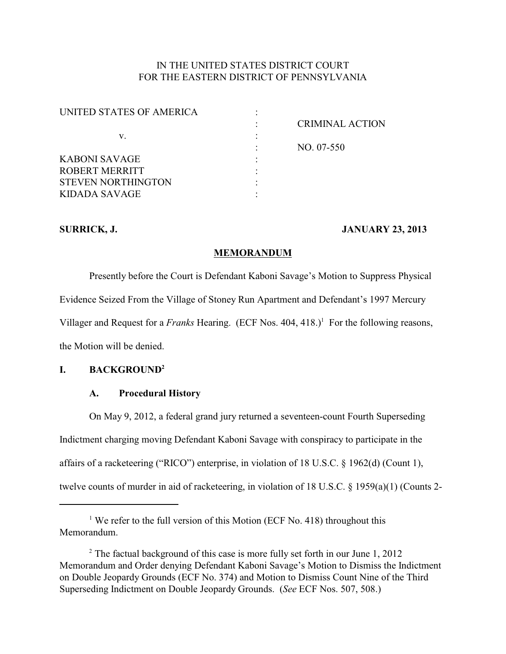# IN THE UNITED STATES DISTRICT COURT FOR THE EASTERN DISTRICT OF PENNSYLVANIA

| <b>CRIMINAL ACTION</b> |
|------------------------|
|                        |
| NO. 07-550             |
|                        |
|                        |
|                        |
|                        |
|                        |

### **SURRICK, J. JANUARY 23, 2013**

### **MEMORANDUM**

Presently before the Court is Defendant Kaboni Savage's Motion to Suppress Physical Evidence Seized From the Village of Stoney Run Apartment and Defendant's 1997 Mercury Villager and Request for a *Franks* Hearing. (ECF Nos. 404, 418.)<sup>1</sup> For the following reasons, the Motion will be denied.

# **I. BACKGROUND<sup>2</sup>**

## **A. Procedural History**

On May 9, 2012, a federal grand jury returned a seventeen-count Fourth Superseding Indictment charging moving Defendant Kaboni Savage with conspiracy to participate in the affairs of a racketeering ("RICO") enterprise, in violation of 18 U.S.C. § 1962(d) (Count 1), twelve counts of murder in aid of racketeering, in violation of 18 U.S.C. § 1959(a)(1) (Counts 2-

<sup>&</sup>lt;sup>1</sup> We refer to the full version of this Motion (ECF No. 418) throughout this Memorandum.

 $2$  The factual background of this case is more fully set forth in our June 1, 2012 Memorandum and Order denying Defendant Kaboni Savage's Motion to Dismiss the Indictment on Double Jeopardy Grounds (ECF No. 374) and Motion to Dismiss Count Nine of the Third Superseding Indictment on Double Jeopardy Grounds. (*See* ECF Nos. 507, 508.)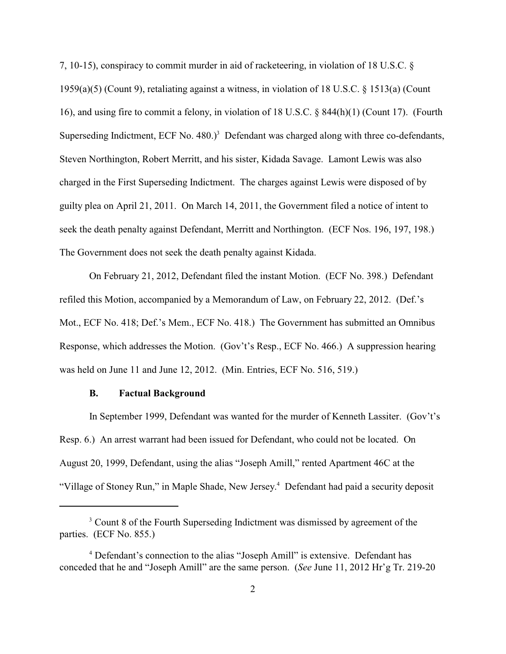7, 10-15), conspiracy to commit murder in aid of racketeering, in violation of 18 U.S.C. § 1959(a)(5) (Count 9), retaliating against a witness, in violation of 18 U.S.C. § 1513(a) (Count 16), and using fire to commit a felony, in violation of 18 U.S.C. § 844(h)(1) (Count 17). (Fourth Superseding Indictment, ECF No.  $480.$ )<sup>3</sup> Defendant was charged along with three co-defendants, Steven Northington, Robert Merritt, and his sister, Kidada Savage. Lamont Lewis was also charged in the First Superseding Indictment. The charges against Lewis were disposed of by guilty plea on April 21, 2011. On March 14, 2011, the Government filed a notice of intent to seek the death penalty against Defendant, Merritt and Northington. (ECF Nos. 196, 197, 198.) The Government does not seek the death penalty against Kidada.

On February 21, 2012, Defendant filed the instant Motion. (ECF No. 398.) Defendant refiled this Motion, accompanied by a Memorandum of Law, on February 22, 2012. (Def.'s Mot., ECF No. 418; Def.'s Mem., ECF No. 418.) The Government has submitted an Omnibus Response, which addresses the Motion. (Gov't's Resp., ECF No. 466.) A suppression hearing was held on June 11 and June 12, 2012. (Min. Entries, ECF No. 516, 519.)

#### **B. Factual Background**

In September 1999, Defendant was wanted for the murder of Kenneth Lassiter. (Gov't's Resp. 6.) An arrest warrant had been issued for Defendant, who could not be located. On August 20, 1999, Defendant, using the alias "Joseph Amill," rented Apartment 46C at the "Village of Stoney Run," in Maple Shade, New Jersey.<sup>4</sup> Defendant had paid a security deposit

<sup>&</sup>lt;sup>3</sup> Count 8 of the Fourth Superseding Indictment was dismissed by agreement of the parties. (ECF No. 855.)

<sup>&</sup>lt;sup>4</sup> Defendant's connection to the alias "Joseph Amill" is extensive. Defendant has conceded that he and "Joseph Amill" are the same person. (*See* June 11, 2012 Hr'g Tr. 219-20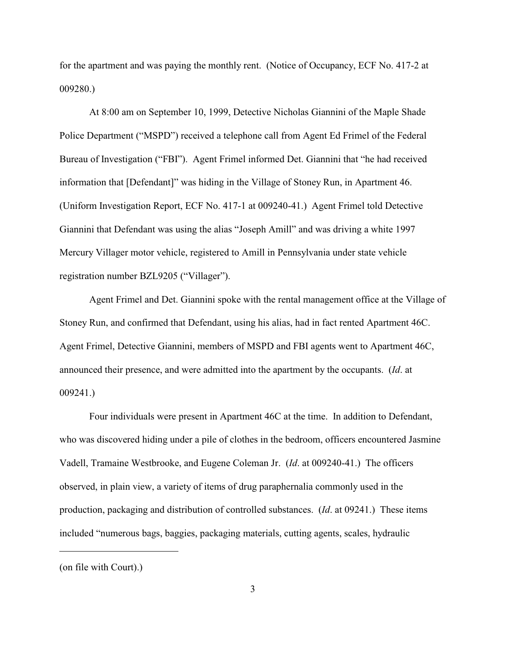for the apartment and was paying the monthly rent. (Notice of Occupancy, ECF No. 417-2 at 009280.)

At 8:00 am on September 10, 1999, Detective Nicholas Giannini of the Maple Shade Police Department ("MSPD") received a telephone call from Agent Ed Frimel of the Federal Bureau of Investigation ("FBI"). Agent Frimel informed Det. Giannini that "he had received information that [Defendant]" was hiding in the Village of Stoney Run, in Apartment 46. (Uniform Investigation Report, ECF No. 417-1 at 009240-41.) Agent Frimel told Detective Giannini that Defendant was using the alias "Joseph Amill" and was driving a white 1997 Mercury Villager motor vehicle, registered to Amill in Pennsylvania under state vehicle registration number BZL9205 ("Villager").

Agent Frimel and Det. Giannini spoke with the rental management office at the Village of Stoney Run, and confirmed that Defendant, using his alias, had in fact rented Apartment 46C. Agent Frimel, Detective Giannini, members of MSPD and FBI agents went to Apartment 46C, announced their presence, and were admitted into the apartment by the occupants. (*Id*. at 009241.)

Four individuals were present in Apartment 46C at the time. In addition to Defendant, who was discovered hiding under a pile of clothes in the bedroom, officers encountered Jasmine Vadell, Tramaine Westbrooke, and Eugene Coleman Jr. (*Id*. at 009240-41.) The officers observed, in plain view, a variety of items of drug paraphernalia commonly used in the production, packaging and distribution of controlled substances. (*Id*. at 09241.) These items included "numerous bags, baggies, packaging materials, cutting agents, scales, hydraulic

<sup>(</sup>on file with Court).)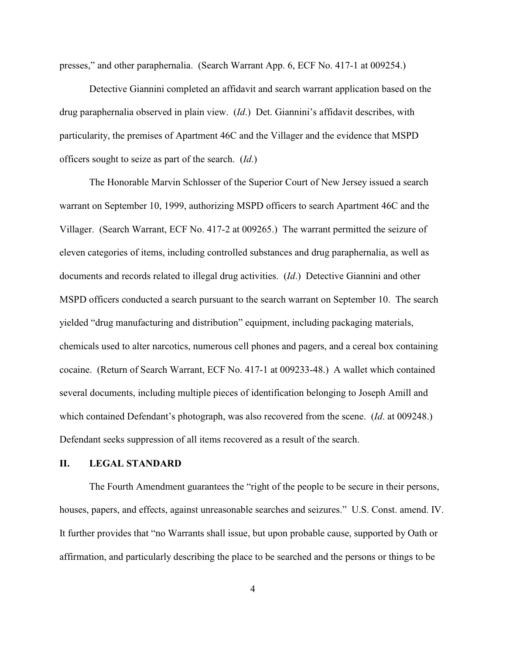presses," and other paraphernalia. (Search Warrant App. 6, ECF No. 417-1 at 009254.)

Detective Giannini completed an affidavit and search warrant application based on the drug paraphernalia observed in plain view. (*Id*.) Det. Giannini's affidavit describes, with particularity, the premises of Apartment 46C and the Villager and the evidence that MSPD officers sought to seize as part of the search. (*Id*.)

The Honorable Marvin Schlosser of the Superior Court of New Jersey issued a search warrant on September 10, 1999, authorizing MSPD officers to search Apartment 46C and the Villager. (Search Warrant, ECF No. 417-2 at 009265.) The warrant permitted the seizure of eleven categories of items, including controlled substances and drug paraphernalia, as well as documents and records related to illegal drug activities. (*Id*.) Detective Giannini and other MSPD officers conducted a search pursuant to the search warrant on September 10. The search yielded "drug manufacturing and distribution" equipment, including packaging materials, chemicals used to alter narcotics, numerous cell phones and pagers, and a cereal box containing cocaine. (Return of Search Warrant, ECF No. 417-1 at 009233-48.) A wallet which contained several documents, including multiple pieces of identification belonging to Joseph Amill and which contained Defendant's photograph, was also recovered from the scene. (*Id*. at 009248.) Defendant seeks suppression of all items recovered as a result of the search.

# **II. LEGAL STANDARD**

The Fourth Amendment guarantees the "right of the people to be secure in their persons, houses, papers, and effects, against unreasonable searches and seizures." U.S. Const. amend. IV. It further provides that "no Warrants shall issue, but upon probable cause, supported by Oath or affirmation, and particularly describing the place to be searched and the persons or things to be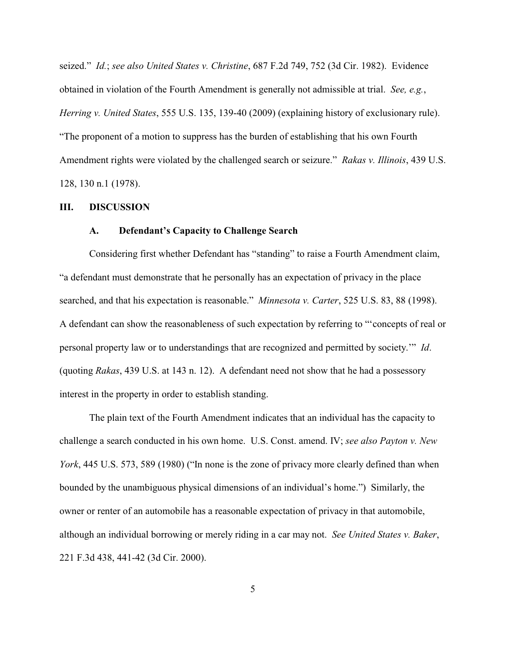seized." *Id.*; *see also United States v. Christine*, 687 F.2d 749, 752 (3d Cir. 1982).Evidence obtained in violation of the Fourth Amendment is generally not admissible at trial. *See, e.g.*, *Herring v. United States*, 555 U.S. 135, 139-40 (2009) (explaining history of exclusionary rule). "The proponent of a motion to suppress has the burden of establishing that his own Fourth Amendment rights were violated by the challenged search or seizure." *Rakas v. Illinois*, 439 U.S. 128, 130 n.1 (1978).

#### **III. DISCUSSION**

#### **A. Defendant's Capacity to Challenge Search**

Considering first whether Defendant has "standing" to raise a Fourth Amendment claim, "a defendant must demonstrate that he personally has an expectation of privacy in the place searched, and that his expectation is reasonable." *Minnesota v. Carter*, 525 U.S. 83, 88 (1998). A defendant can show the reasonableness of such expectation by referring to "'concepts of real or personal property law or to understandings that are recognized and permitted by society.'" *Id*. (quoting *Rakas*, 439 U.S. at 143 n. 12). A defendant need not show that he had a possessory interest in the property in order to establish standing.

The plain text of the Fourth Amendment indicates that an individual has the capacity to challenge a search conducted in his own home. U.S. Const. amend. IV; *see also Payton v. New York*, 445 U.S. 573, 589 (1980) ("In none is the zone of privacy more clearly defined than when bounded by the unambiguous physical dimensions of an individual's home.") Similarly, the owner or renter of an automobile has a reasonable expectation of privacy in that automobile, although an individual borrowing or merely riding in a car may not. *See United States v. Baker*, 221 F.3d 438, 441-42 (3d Cir. 2000).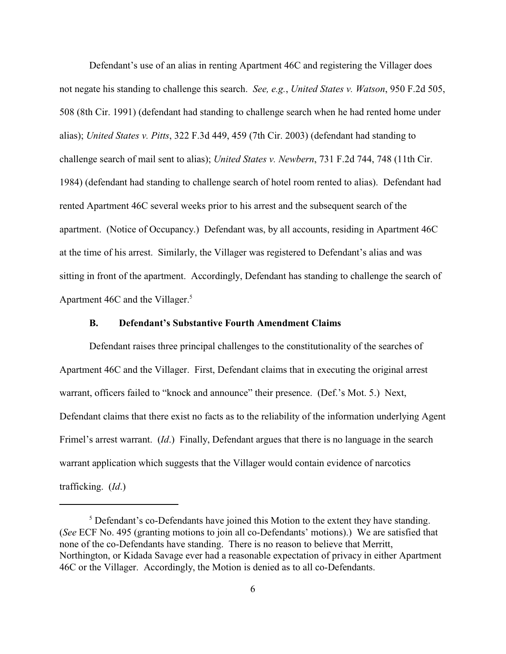Defendant's use of an alias in renting Apartment 46C and registering the Villager does not negate his standing to challenge this search. *See, e.g.*, *United States v. Watson*, 950 F.2d 505, 508 (8th Cir. 1991) (defendant had standing to challenge search when he had rented home under alias); *United States v. Pitts*, 322 F.3d 449, 459 (7th Cir. 2003) (defendant had standing to challenge search of mail sent to alias); *United States v. Newbern*, 731 F.2d 744, 748 (11th Cir. 1984) (defendant had standing to challenge search of hotel room rented to alias). Defendant had rented Apartment 46C several weeks prior to his arrest and the subsequent search of the apartment. (Notice of Occupancy.) Defendant was, by all accounts, residing in Apartment 46C at the time of his arrest. Similarly, the Villager was registered to Defendant's alias and was sitting in front of the apartment. Accordingly, Defendant has standing to challenge the search of Apartment 46C and the Villager.<sup>5</sup>

### **B. Defendant's Substantive Fourth Amendment Claims**

Defendant raises three principal challenges to the constitutionality of the searches of Apartment 46C and the Villager. First, Defendant claims that in executing the original arrest warrant, officers failed to "knock and announce" their presence. (Def.'s Mot. 5.) Next, Defendant claims that there exist no facts as to the reliability of the information underlying Agent Frimel's arrest warrant. (*Id*.) Finally, Defendant argues that there is no language in the search warrant application which suggests that the Villager would contain evidence of narcotics trafficking. (*Id*.)

 $<sup>5</sup>$  Defendant's co-Defendants have joined this Motion to the extent they have standing.</sup> (*See* ECF No. 495 (granting motions to join all co-Defendants' motions).) We are satisfied that none of the co-Defendants have standing. There is no reason to believe that Merritt, Northington, or Kidada Savage ever had a reasonable expectation of privacy in either Apartment 46C or the Villager. Accordingly, the Motion is denied as to all co-Defendants.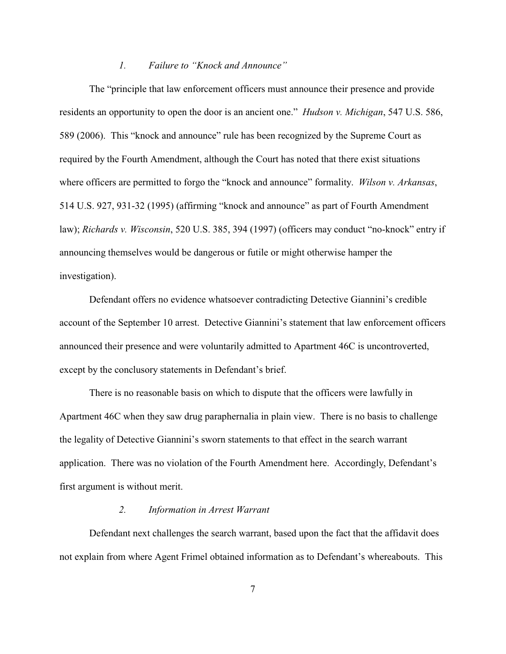#### *1. Failure to "Knock and Announce"*

The "principle that law enforcement officers must announce their presence and provide residents an opportunity to open the door is an ancient one." *Hudson v. Michigan*, 547 U.S. 586, 589 (2006). This "knock and announce" rule has been recognized by the Supreme Court as required by the Fourth Amendment, although the Court has noted that there exist situations where officers are permitted to forgo the "knock and announce" formality. *Wilson v. Arkansas*, 514 U.S. 927, 931-32 (1995) (affirming "knock and announce" as part of Fourth Amendment law); *Richards v. Wisconsin*, 520 U.S. 385, 394 (1997) (officers may conduct "no-knock" entry if announcing themselves would be dangerous or futile or might otherwise hamper the investigation).

Defendant offers no evidence whatsoever contradicting Detective Giannini's credible account of the September 10 arrest. Detective Giannini's statement that law enforcement officers announced their presence and were voluntarily admitted to Apartment 46C is uncontroverted, except by the conclusory statements in Defendant's brief.

There is no reasonable basis on which to dispute that the officers were lawfully in Apartment 46C when they saw drug paraphernalia in plain view. There is no basis to challenge the legality of Detective Giannini's sworn statements to that effect in the search warrant application. There was no violation of the Fourth Amendment here. Accordingly, Defendant's first argument is without merit.

#### *2. Information in Arrest Warrant*

Defendant next challenges the search warrant, based upon the fact that the affidavit does not explain from where Agent Frimel obtained information as to Defendant's whereabouts. This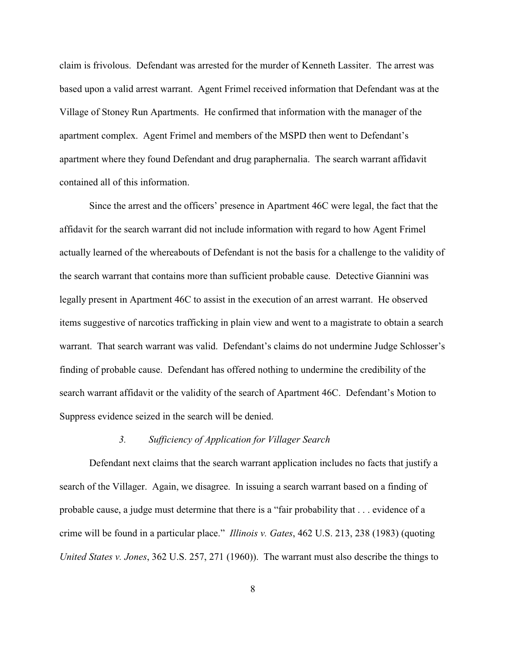claim is frivolous. Defendant was arrested for the murder of Kenneth Lassiter. The arrest was based upon a valid arrest warrant. Agent Frimel received information that Defendant was at the Village of Stoney Run Apartments. He confirmed that information with the manager of the apartment complex. Agent Frimel and members of the MSPD then went to Defendant's apartment where they found Defendant and drug paraphernalia. The search warrant affidavit contained all of this information.

Since the arrest and the officers' presence in Apartment 46C were legal, the fact that the affidavit for the search warrant did not include information with regard to how Agent Frimel actually learned of the whereabouts of Defendant is not the basis for a challenge to the validity of the search warrant that contains more than sufficient probable cause. Detective Giannini was legally present in Apartment 46C to assist in the execution of an arrest warrant. He observed items suggestive of narcotics trafficking in plain view and went to a magistrate to obtain a search warrant. That search warrant was valid. Defendant's claims do not undermine Judge Schlosser's finding of probable cause. Defendant has offered nothing to undermine the credibility of the search warrant affidavit or the validity of the search of Apartment 46C. Defendant's Motion to Suppress evidence seized in the search will be denied.

#### *3. Sufficiency of Application for Villager Search*

Defendant next claims that the search warrant application includes no facts that justify a search of the Villager. Again, we disagree. In issuing a search warrant based on a finding of probable cause, a judge must determine that there is a "fair probability that . . . evidence of a crime will be found in a particular place." *Illinois v. Gates*, 462 U.S. 213, 238 (1983) (quoting *United States v. Jones*, 362 U.S. 257, 271 (1960)). The warrant must also describe the things to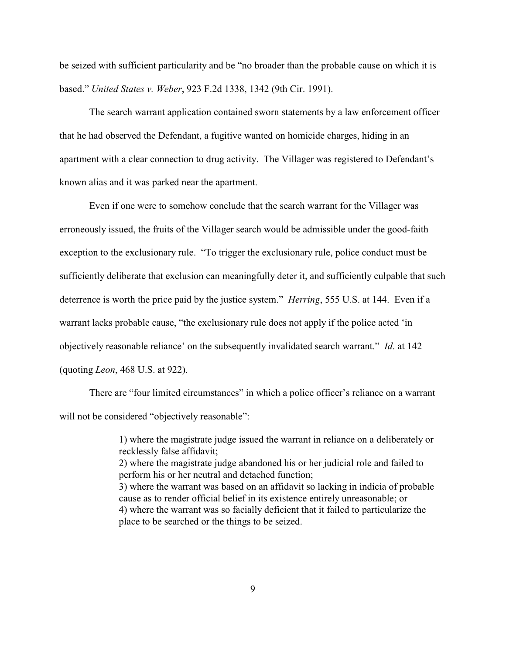be seized with sufficient particularity and be "no broader than the probable cause on which it is based." *United States v. Weber*, 923 F.2d 1338, 1342 (9th Cir. 1991).

The search warrant application contained sworn statements by a law enforcement officer that he had observed the Defendant, a fugitive wanted on homicide charges, hiding in an apartment with a clear connection to drug activity. The Villager was registered to Defendant's known alias and it was parked near the apartment.

Even if one were to somehow conclude that the search warrant for the Villager was erroneously issued, the fruits of the Villager search would be admissible under the good-faith exception to the exclusionary rule. "To trigger the exclusionary rule, police conduct must be sufficiently deliberate that exclusion can meaningfully deter it, and sufficiently culpable that such deterrence is worth the price paid by the justice system." *Herring*, 555 U.S. at 144. Even if a warrant lacks probable cause, "the exclusionary rule does not apply if the police acted 'in objectively reasonable reliance' on the subsequently invalidated search warrant." *Id*. at 142 (quoting *Leon*, 468 U.S. at 922).

There are "four limited circumstances" in which a police officer's reliance on a warrant will not be considered "objectively reasonable":

> 1) where the magistrate judge issued the warrant in reliance on a deliberately or recklessly false affidavit; 2) where the magistrate judge abandoned his or her judicial role and failed to perform his or her neutral and detached function; 3) where the warrant was based on an affidavit so lacking in indicia of probable cause as to render official belief in its existence entirely unreasonable; or 4) where the warrant was so facially deficient that it failed to particularize the place to be searched or the things to be seized.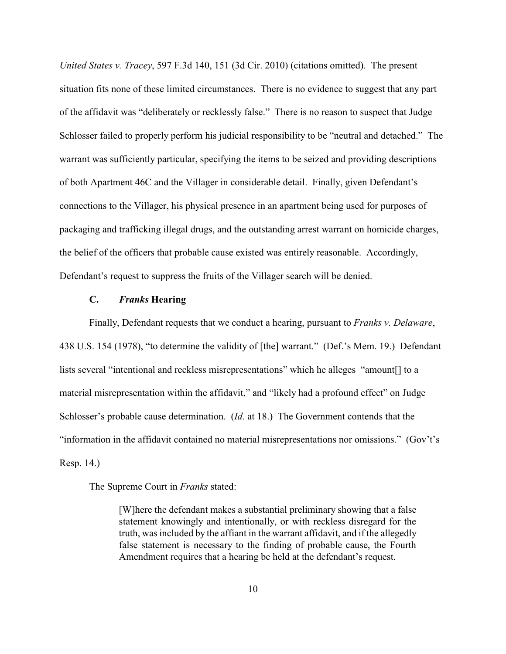*United States v. Tracey*, 597 F.3d 140, 151 (3d Cir. 2010) (citations omitted). The present situation fits none of these limited circumstances. There is no evidence to suggest that any part of the affidavit was "deliberately or recklessly false." There is no reason to suspect that Judge Schlosser failed to properly perform his judicial responsibility to be "neutral and detached." The warrant was sufficiently particular, specifying the items to be seized and providing descriptions of both Apartment 46C and the Villager in considerable detail. Finally, given Defendant's connections to the Villager, his physical presence in an apartment being used for purposes of packaging and trafficking illegal drugs, and the outstanding arrest warrant on homicide charges, the belief of the officers that probable cause existed was entirely reasonable. Accordingly, Defendant's request to suppress the fruits of the Villager search will be denied.

## **C.** *Franks* **Hearing**

Finally, Defendant requests that we conduct a hearing, pursuant to *Franks v. Delaware*, 438 U.S. 154 (1978), "to determine the validity of [the] warrant." (Def.'s Mem. 19.) Defendant lists several "intentional and reckless misrepresentations" which he alleges "amount[] to a material misrepresentation within the affidavit," and "likely had a profound effect" on Judge Schlosser's probable cause determination. (*Id*. at 18.) The Government contends that the "information in the affidavit contained no material misrepresentations nor omissions." (Gov't's Resp. 14.)

The Supreme Court in *Franks* stated:

[W]here the defendant makes a substantial preliminary showing that a false statement knowingly and intentionally, or with reckless disregard for the truth, was included by the affiant in the warrant affidavit, and if the allegedly false statement is necessary to the finding of probable cause, the Fourth Amendment requires that a hearing be held at the defendant's request.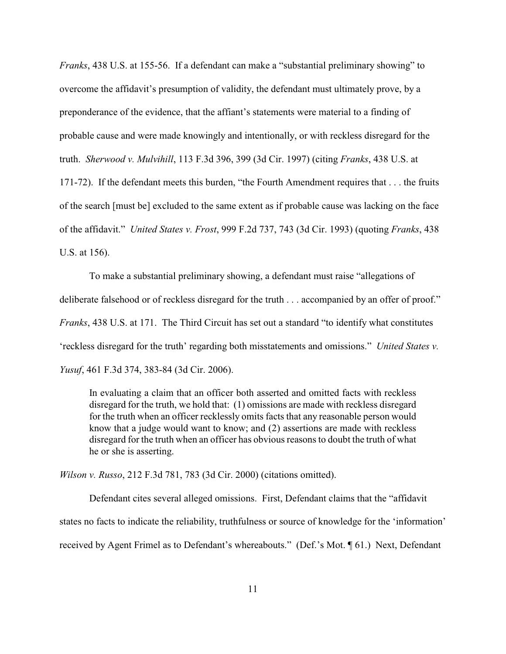*Franks*, 438 U.S. at 155-56. If a defendant can make a "substantial preliminary showing" to overcome the affidavit's presumption of validity, the defendant must ultimately prove, by a preponderance of the evidence, that the affiant's statements were material to a finding of probable cause and were made knowingly and intentionally, or with reckless disregard for the truth. *Sherwood v. Mulvihill*, 113 F.3d 396, 399 (3d Cir. 1997) (citing *Franks*, 438 U.S. at 171-72). If the defendant meets this burden, "the Fourth Amendment requires that . . . the fruits of the search [must be] excluded to the same extent as if probable cause was lacking on the face of the affidavit." *United States v. Frost*, 999 F.2d 737, 743 (3d Cir. 1993) (quoting *Franks*, 438 U.S. at 156).

To make a substantial preliminary showing, a defendant must raise "allegations of deliberate falsehood or of reckless disregard for the truth . . . accompanied by an offer of proof." *Franks*, 438 U.S. at 171. The Third Circuit has set out a standard "to identify what constitutes 'reckless disregard for the truth' regarding both misstatements and omissions." *United States v. Yusuf*, 461 F.3d 374, 383-84 (3d Cir. 2006).

In evaluating a claim that an officer both asserted and omitted facts with reckless disregard for the truth, we hold that: (1) omissions are made with reckless disregard for the truth when an officer recklessly omits facts that any reasonable person would know that a judge would want to know; and (2) assertions are made with reckless disregard for the truth when an officer has obvious reasons to doubt the truth of what he or she is asserting.

*Wilson v. Russo*, 212 F.3d 781, 783 (3d Cir. 2000) (citations omitted).

Defendant cites several alleged omissions. First, Defendant claims that the "affidavit states no facts to indicate the reliability, truthfulness or source of knowledge for the 'information' received by Agent Frimel as to Defendant's whereabouts." (Def.'s Mot. ¶ 61.) Next, Defendant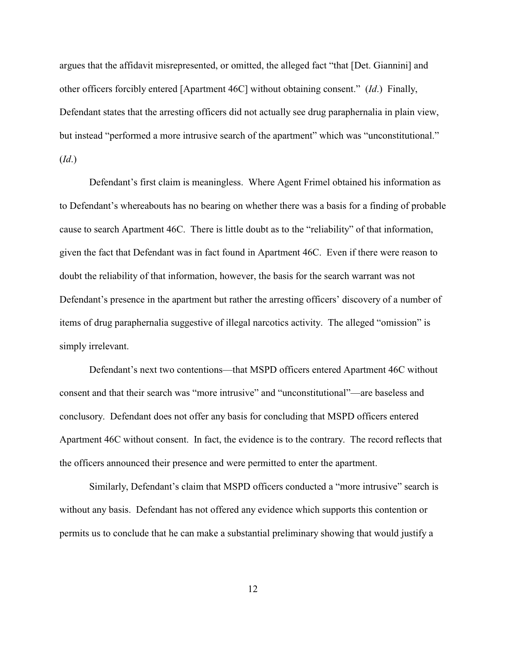argues that the affidavit misrepresented, or omitted, the alleged fact "that [Det. Giannini] and other officers forcibly entered [Apartment 46C] without obtaining consent." (*Id*.) Finally, Defendant states that the arresting officers did not actually see drug paraphernalia in plain view, but instead "performed a more intrusive search of the apartment" which was "unconstitutional." (*Id*.)

Defendant's first claim is meaningless. Where Agent Frimel obtained his information as to Defendant's whereabouts has no bearing on whether there was a basis for a finding of probable cause to search Apartment 46C. There is little doubt as to the "reliability" of that information, given the fact that Defendant was in fact found in Apartment 46C. Even if there were reason to doubt the reliability of that information, however, the basis for the search warrant was not Defendant's presence in the apartment but rather the arresting officers' discovery of a number of items of drug paraphernalia suggestive of illegal narcotics activity. The alleged "omission" is simply irrelevant.

Defendant's next two contentions—that MSPD officers entered Apartment 46C without consent and that their search was "more intrusive" and "unconstitutional"—are baseless and conclusory. Defendant does not offer any basis for concluding that MSPD officers entered Apartment 46C without consent. In fact, the evidence is to the contrary. The record reflects that the officers announced their presence and were permitted to enter the apartment.

Similarly, Defendant's claim that MSPD officers conducted a "more intrusive" search is without any basis. Defendant has not offered any evidence which supports this contention or permits us to conclude that he can make a substantial preliminary showing that would justify a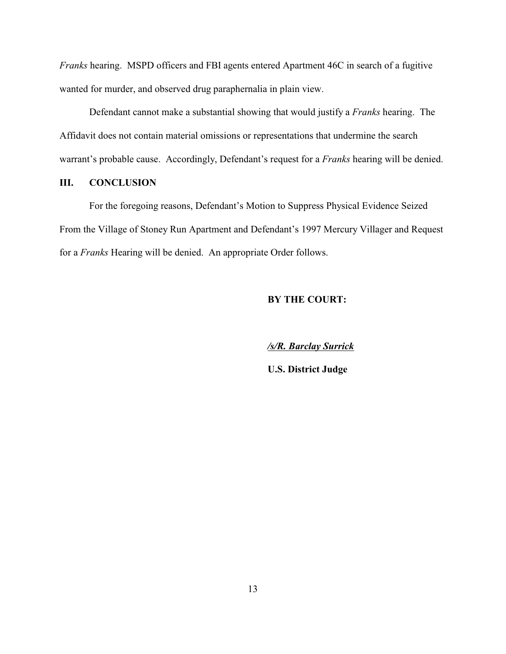*Franks* hearing. MSPD officers and FBI agents entered Apartment 46C in search of a fugitive wanted for murder, and observed drug paraphernalia in plain view.

Defendant cannot make a substantial showing that would justify a *Franks* hearing. The Affidavit does not contain material omissions or representations that undermine the search warrant's probable cause. Accordingly, Defendant's request for a *Franks* hearing will be denied.

# **III. CONCLUSION**

For the foregoing reasons, Defendant's Motion to Suppress Physical Evidence Seized From the Village of Stoney Run Apartment and Defendant's 1997 Mercury Villager and Request for a *Franks* Hearing will be denied. An appropriate Order follows.

# **BY THE COURT:**

*/s/R. Barclay Surrick*

**U.S. District Judge**